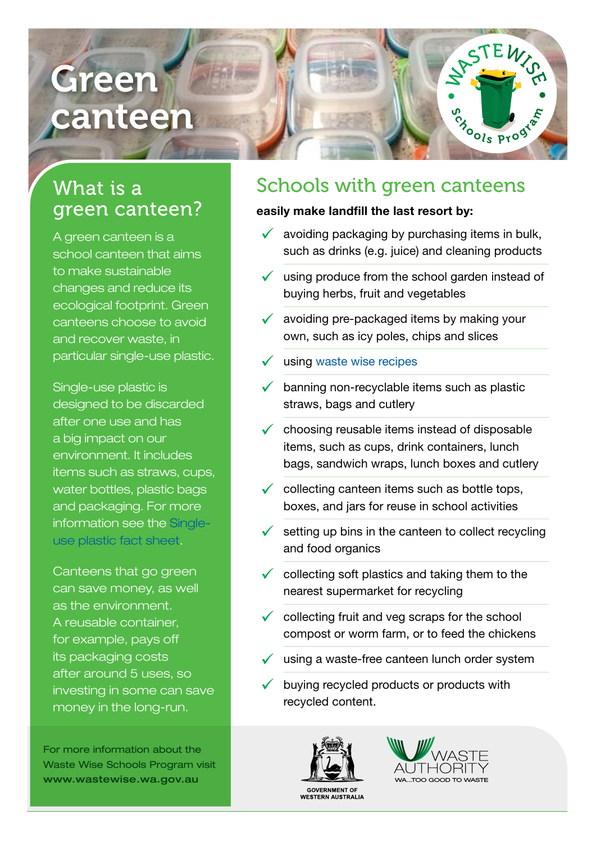# Green canteen

## What is a green canteen?

A green canteen is a school canteen that aims to make sustainable changes and reduce its ecological footprint. Green canteens choose to avoid and recover waste, in particular single-use plastic.

Single-use plastic is designed to be discarded after one use and has a big impact on our environment. It includes items such as straws, cups, water bottles, plastic bags and packaging. For more information see the [Single](https://www.wasteauthority.wa.gov.au/wws/teaching-resources/list/fact-sheets)[use plastic fact sheet](https://www.wasteauthority.wa.gov.au/wws/teaching-resources/list/fact-sheets).

Canteens that go green can save money, as well as the environment. A reusable container, for example, pays off its packaging costs after around 5 uses, so investing in some can save money in the long-run.

For more information about the Waste Wise Schools Program visit www.wastewise.wa.gov.au

### Schools with green canteens

#### easily make landfill the last resort by:

 $\checkmark$  avoiding packaging by purchasing items in bulk, such as drinks (e.g. juice) and cleaning products

**SHOOLS Program** 

- $\checkmark$  using produce from the school garden instead of buying herbs, fruit and vegetables
- $\checkmark$  avoiding pre-packaged items by making your own, such as icy poles, chips and slices
- $\checkmark$  using [waste wise recipes](https://www.nudefoodday.com.au/wp-content/uploads/2016/08/NFM-RECIPES-BOOKLET-HQ.pdf)
- $\checkmark$  banning non-recyclable items such as plastic straws, bags and cutlery
- choosing reusable items instead of disposable items, such as cups, drink containers, lunch bags, sandwich wraps, lunch boxes and cutlery
- collecting canteen items such as bottle tops, boxes, and jars for reuse in school activities
- setting up bins in the canteen to collect recycling and food organics
- $\checkmark$  collecting soft plastics and taking them to the nearest supermarket for recycling
- $\checkmark$  collecting fruit and veg scraps for the school compost or worm farm, or to feed the chickens
- $\checkmark$  using a waste-free canteen lunch order system
- buying recycled products or products with recycled content.



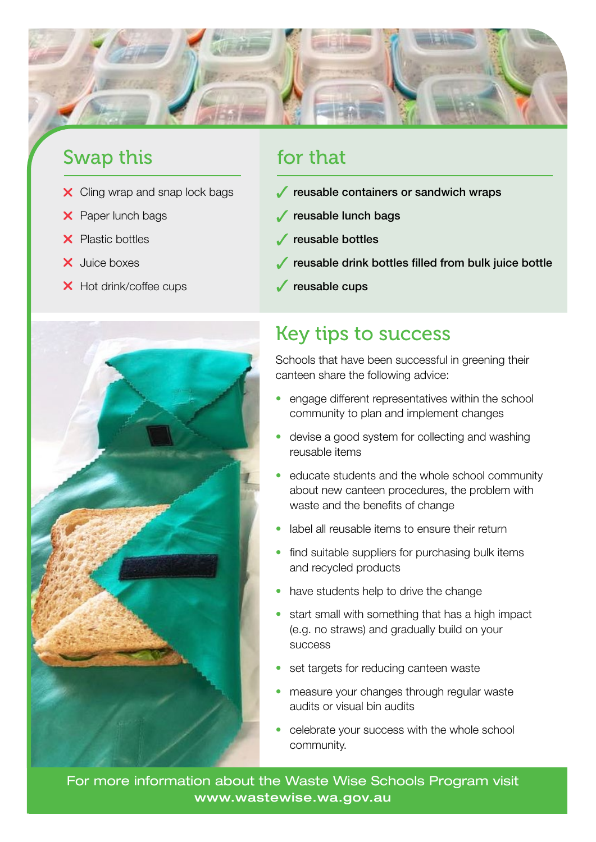

#### Swap this **for that**

- 
- 
- 
- 
- X Hot drink/coffee cups **reusable cups**



- $\times$  Cling wrap and snap lock bags  $\sqrt{\phantom{a}}$  reusable containers or sandwich wraps
- **X** Paper lunch bags **reusable lunch bags**
- **X** Plastic bottles **reusable bottles**
- X Juice boxes **Review of the Contract of Australian Contract of the Contract of Australian Street Australian Street Australian Street Australian Street Australian Street Australian Street Australian Street Australian Stree** 
	-

### Key tips to success

Schools that have been successful in greening their canteen share the following advice:

- engage different representatives within the school community to plan and implement changes
- devise a good system for collecting and washing reusable items
- educate students and the whole school community about new canteen procedures, the problem with waste and the benefits of change
- label all reusable items to ensure their return
- find suitable suppliers for purchasing bulk items and recycled products
- have students help to drive the change
- start small with something that has a high impact (e.g. no straws) and gradually build on your success
- set targets for reducing canteen waste
- measure your changes through regular waste audits or visual bin audits
- celebrate your success with the whole school community.

For more information about the Waste Wise Schools Program visit www.wastewise.wa.gov.au